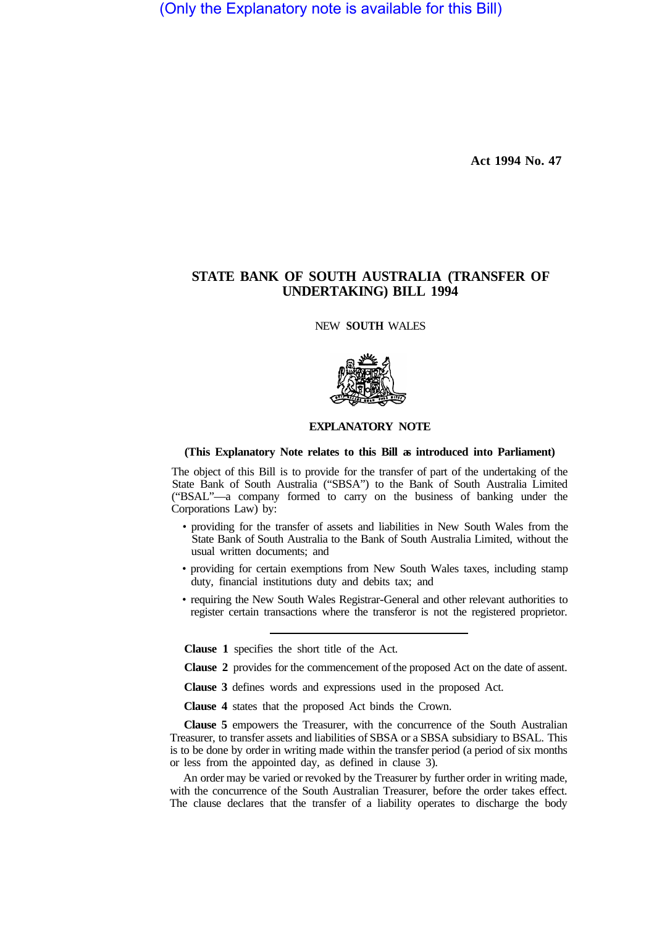(Only the Explanatory note is available for this Bill)

**Act 1994 No. 47** 

## **STATE BANK OF SOUTH AUSTRALIA (TRANSFER OF UNDERTAKING) BILL 1994**

NEW **SOUTH** WALES



## **EXPLANATORY NOTE**

## **(This Explanatory Note relates to this Bill as introduced into Parliament)**

The object of this Bill is to provide for the transfer of part of the undertaking of the State Bank of South Australia ("SBSA") to the Bank of South Australia Limited ("BSAL"—a company formed to carry on the business of banking under the Corporations Law) by:

- providing for the transfer of assets and liabilities in New South Wales from the State Bank of South Australia to the Bank of South Australia Limited, without the usual written documents; and
- providing for certain exemptions from New South Wales taxes, including stamp duty, financial institutions duty and debits tax; and
- requiring the New South Wales Registrar-General and other relevant authorities to register certain transactions where the transferor is not the registered proprietor.

**Clause 1** specifies the short title of the Act.

**Clause 2** provides for the commencement of the proposed Act on the date of assent.

**Clause 3** defines words and expressions used in the proposed Act.

**Clause 4** states that the proposed Act binds the Crown.

**Clause 5** empowers the Treasurer, with the concurrence of the South Australian Treasurer, to transfer assets and liabilities of SBSA or a SBSA subsidiary to BSAL. This is to be done by order in writing made within the transfer period (a period of six months or less from the appointed day, as defined in clause 3).

An order may be varied or revoked by the Treasurer by further order in writing made, with the concurrence of the South Australian Treasurer, before the order takes effect. The clause declares that the transfer of a liability operates to discharge the body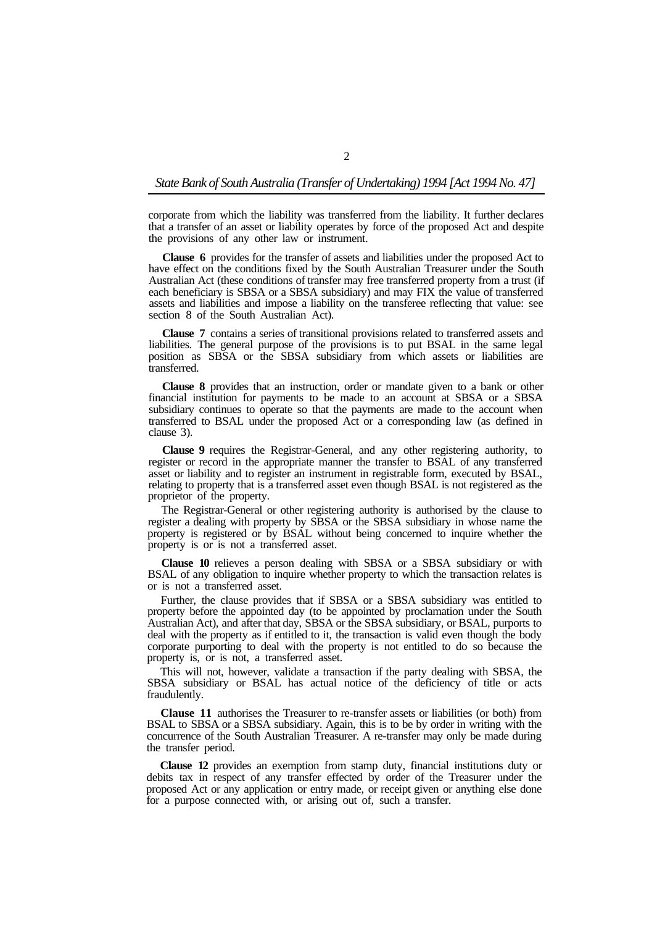## *State Bank of South Australia (Transfer of Undertaking) 1994 [Act 1994 No. 47]*

corporate from which the liability was transferred from the liability. It further declares that a transfer of an asset or liability operates by force of the proposed Act and despite the provisions of any other law or instrument.

**Clause 6** provides for the transfer of assets and liabilities under the proposed Act to have effect on the conditions fixed by the South Australian Treasurer under the South Australian Act (these conditions of transfer may free transferred property from a trust (if each beneficiary is SBSA or a SBSA subsidiary) and may FIX the value of transferred assets and liabilities and impose a liability on the transferee reflecting that value: see section 8 of the South Australian Act).

**Clause 7** contains a series of transitional provisions related to transferred assets and liabilities. The general purpose of the provisions is to put BSAL in the same legal position as SBSA or the SBSA subsidiary from which assets or liabilities are transferred.

**Clause 8** provides that an instruction, order or mandate given to a bank or other financial institution for payments to be made to an account at SBSA or a SBSA subsidiary continues to operate so that the payments are made to the account when transferred to BSAL under the proposed Act or a corresponding law (as defined in clause 3).

**Clause 9** requires the Registrar-General, and any other registering authority, to register or record in the appropriate manner the transfer to BSAL of any transferred asset or liability and to register an instrument in registrable form, executed by BSAL, relating to property that is a transferred asset even though BSAL is not registered as the proprietor of the property.

The Registrar-General or other registering authority is authorised by the clause to register a dealing with property by SBSA or the SBSA subsidiary in whose name the property is registered or by BSAL without being concerned to inquire whether the property is or is not a transferred asset.

**Clause 10** relieves a person dealing with SBSA or a SBSA subsidiary or with BSAL of any obligation to inquire whether property to which the transaction relates is or is not a transferred asset.

Further, the clause provides that if SBSA or a SBSA subsidiary was entitled to property before the appointed day (to be appointed by proclamation under the South Australian Act), and after that day, SBSA or the SBSA subsidiary, or BSAL, purports to deal with the property as if entitled to it, the transaction is valid even though the body corporate purporting to deal with the property is not entitled to do so because the property is, or is not, a transferred asset.

This will not, however, validate a transaction if the party dealing with SBSA, the SBSA subsidiary or BSAL has actual notice of the deficiency of title or acts fraudulently.

**Clause 11** authorises the Treasurer to re-transfer assets or liabilities (or both) from BSAL to SBSA or a SBSA subsidiary. Again, this is to be by order in writing with the concurrence of the South Australian Treasurer. A re-transfer may only be made during the transfer period.

**Clause 12** provides an exemption from stamp duty, financial institutions duty or debits tax in respect of any transfer effected by order of the Treasurer under the proposed Act or any application or entry made, or receipt given or anything else done for a purpose connected with, or arising out of, such a transfer.